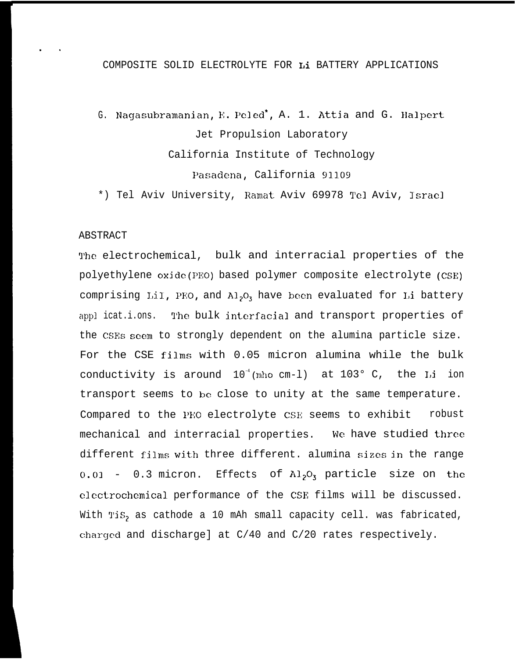### COMPOSITE SOLID ELECTROLYTE FOR Li BATTERY APPLICATIONS

G. Nagasubramanian, E. Pe]ed', A. 1. Attia and G. Halpert Jet Propulsion Laboratory California Institute of Technology Pasadena, California 91109

\*) Tel Aviv University, Ramat Aviv 69978 Tel Aviv, Israel

### ABSTRACT

. .

The electrochemical, bulk and interracial properties of the polyethylene oxjdc(P130) based polymer composite electrolyte (CSE) comprising LiI, PEO, and  $\mathrm{Al}_2\mathrm{O}_3$  have been evaluated for Li battery appl icat.i.ons. The bulk interfacial and transport properties of the CSES seem to strongly dependent on the alumina particle size. For the CSE films with 0.05 micron alumina while the bulk conductivity is around  $10^{-4}$  (mho cm-1) at 103° C, the Li ion transport seems to be close to unity at the same temperature. Compared to the PEO electrolyte CSE seems to exhibit robust mechanical and interracial properties. We have studied three different films with three different. alumina sizes in the range  $0.01 - 0.3$  micron. Effects of  $\text{Al}_2\text{O}_3$  particle size on the clcctrochcmical performance of the CSR films will be discussed. With TiS, as cathode a 10 mAh small capacity cell. was fabricated, charged and discharge] at  $C/40$  and  $C/20$  rates respectively.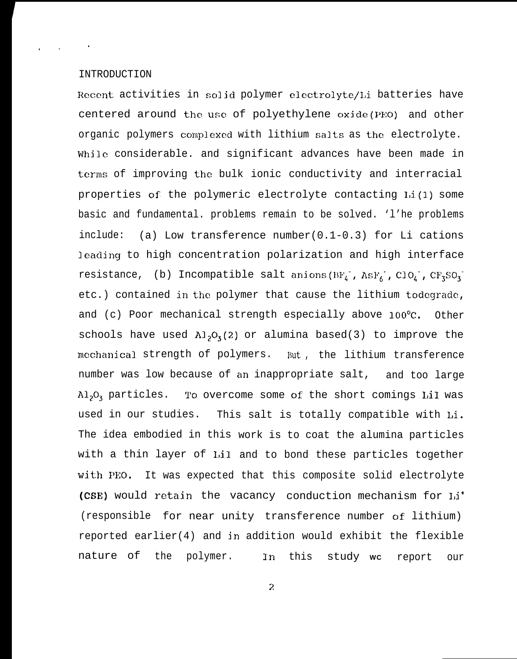### INTRODUCTION

 $\mathcal{L}_{\text{A}}$  and  $\mathcal{L}_{\text{B}}$  . In the  $\mathcal{L}_{\text{B}}$ 

Recent activities in solid polymer electrolyte/Li batteries have centered around the use of polyethylene oxide(PEO) and other organic polymers complexed with lithium salts as the electrolyte. While considerable. and significant advances have been made in terms of improving the bulk ionic conductivity and interracial properties of the polymeric electrolyte contacting  $Li(1)$  some basic and fundamental. problems remain to be solved. 'l'he problems include: (a) Low transference number(0.1-0.3) for Li cations leading to high concentration polarization and high interface resistance, (b) Incompatible salt anions( $BF_L$ , As $F_6$ , ClO<sub>4</sub>, CF<sub>3</sub>SO<sub>3</sub>etc.) contained in the polymer that cause the lithium todegrade, and (c) Poor mechanical strength especially above 100°C. Other schools have used  $\lambda_1$ ,  $O_3(2)$  or alumina based(3) to improve the mechanical strength of polymers. But, the lithium transference number was low because of an inappropriate salt, and too large  $\mathrm{Al}_2\mathrm{O}_3$  particles. To overcome some of the short comings LiI was used in our studies. This salt is totally compatible with Li. The idea embodied in this work is to coat the alumina particles with a thin layer of LiI and to bond these particles together with PEO. It was expected that this composite solid electrolyte (CSE) would retain the vacancy conduction mechanism for I,i+ (responsible for near unity transference number of lithium) reported earlier(4) and in addition would exhibit the flexible nature of the polymer. In this study **WC** report our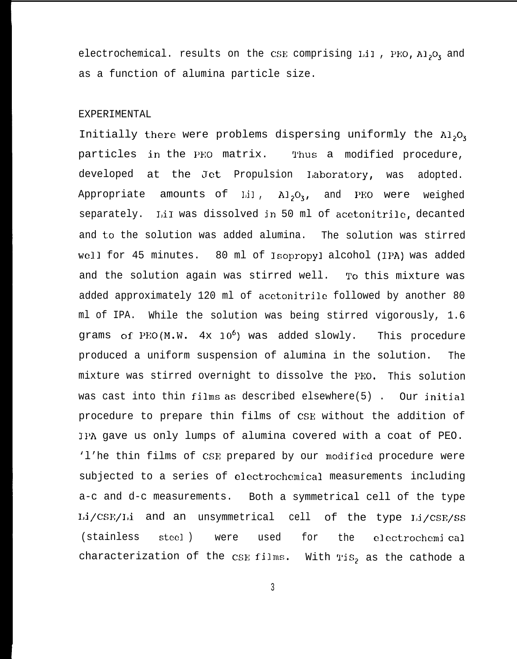electrochemical. results on the CSE comprising Lil, PEO,  $A1_2O_3$  and as a function of alumina particle size.

### EXPERIMENTAL

Initially there were problems dispersing uniformly the  $A1_2O_3$ particles in the PEO matrix. Thus a modified procedure, developed at the Jet Propulsion Laboratory, was adopted. Appropriate amounts of  $LiI$ ,  $Al_2O_3$ , and PEO were weighed separately. I,iI was dissolved jn 50 ml of acetonitrile, decanted and to the solution was added alumina. The solution was stirred well for 45 minutes. 80 ml of Isopropyl alcohol (IPA) was added and the solution again was stirred well. To this mixture was added approximately 120 ml of acetonitrile followed by another 80 ml of IPA. While the solution was being stirred vigorously, 1.6 grams of PEO(M.W.  $4x \t10^6$ ) was added slowly. This procedure produced a uniform suspension of alumina in the solution. The mixture was stirred overnight to dissolve the PEO. This solution was cast into thin films as described elsewhere(5) . Our jnitial procedure to prepare thin films of CSE without the addition of IPA gave us only lumps of alumina covered with a coat of PEO. 'l'he thin films of CSE prepared by our modified procedure were subjected to a series of electrochemical measurements including a-c and d-c measurements. Both a symmetrical cell of the type Li/CSE/Li and an unsymmetrical cell of the type Li/CSE/SS (stainless steel ) were used for the clectrochemi cal characterization of the CSE films. With TiS<sub>2</sub> as the cathode a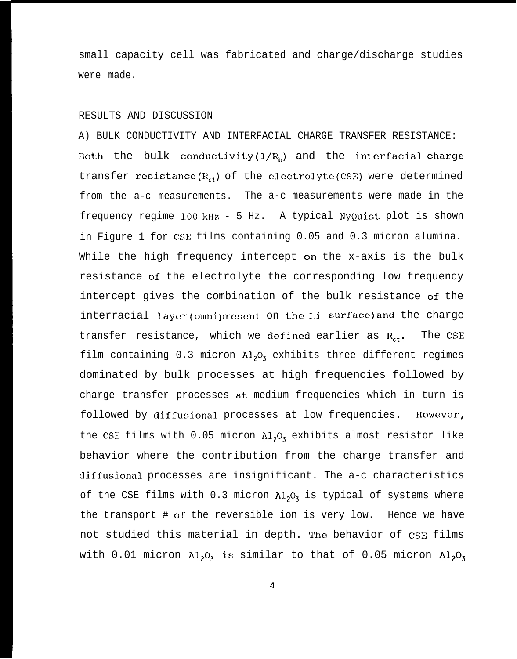small capacity cell was fabricated and charge/discharge studies were made.

### RESULTS AND DISCUSSION

A) BULK CONDUCTIVITY AND INTERFACIAL CHARGE TRANSFER RESISTANCE: Both the bulk conductivity( $1/R_b$ ) and the interfacial charge transfer resistance( $R_{ct}$ ) of the electrolyte(CSE) were determined from the a-c measurements. The a-c measurements were made in the frequency regime 100 kHz - 5 Hz. A typical NyQuist plot is shown in Figure 1 for CSE films containing 0.05 and 0.3 micron alumina. While the high frequency intercept on the x-axis is the bulk resistance of the electrolyte the corresponding low frequency intercept gives the combination of the bulk resistance of the interracial layer(omnipresent on the Li surface)and the charge transfer resistance, which we defined earlier as  $R_{ct}$ . The CSE film containing 0.3 micron  $A1_2O_3$  exhibits three different regimes dominated by bulk processes at high frequencies followed by charge transfer processes at medium frequencies which in turn is followed by diffusional processes at low frequencies. llowcver, the CSE films with 0.05 micron  $\lambda l_2O_3$  exhibits almost resistor like behavior where the contribution from the charge transfer and diffusional processes are insignificant. The a-c characteristics of the CSE films with 0.3 micron  $\lambda l_2O_3$  is typical of systems where the transport # of the reversible ion is very low. Hence we have not studied this material in depth. The behavior of CSE films with 0.01 micron  $A1_2O_3$  is similar to that of 0.05 micron  $A1_2O_3$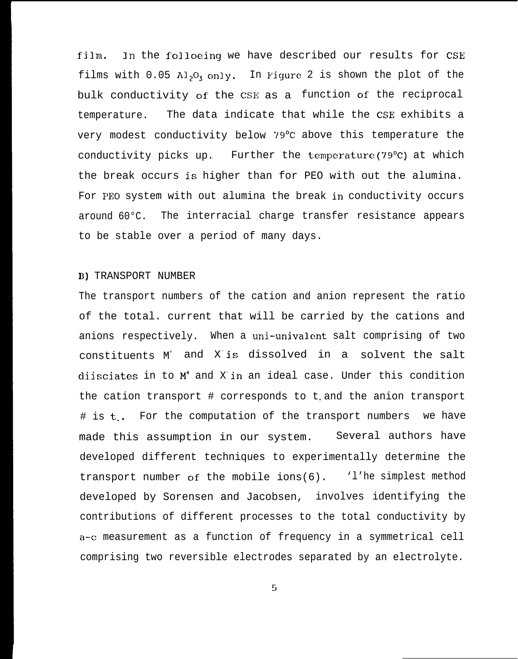film. In the folloeing we have described our results for CSE films with  $0.05$  Al<sub>2</sub>O<sub>3</sub> only. In Figure 2 is shown the plot of the bulk conductivity of the CSE as a function of the reciprocal temperature. The data indicate that while the CSE exhibits a very modest conductivity below '79°C above this temperature the conductivity picks up. Further the temperature(79°C) at which the break occurs is higher than for PEO with out the alumina. For PEO system with out alumina the break in conductivity occurs around 60°C. The interracial charge transfer resistance appears to be stable over a period of many days.

### B) TRANSPORT NUMBER

The transport numbers of the cation and anion represent the ratio of the total. current that will be carried by the cations and anions respectively. When a uni-univalent salt comprising of two constituents M<sup>+</sup> and X- is dissolved in a solvent the salt diisciates in to M+ and X- in an ideal case. Under this condition the cation transport  $#$  corresponds to  $t_1$  and the anion transport # is t.. For the computation of the transport numbers we have made this assumption in our system. Several authors have developed different techniques to experimentally determine the transport number of the mobile ions(6). 'l'he simplest method developed by Sorensen and Jacobsen, involves identifying the contributions of different processes to the total conductivity by a-c measurement as a function of frequency in a symmetrical cell comprising two reversible electrodes separated by an electrolyte.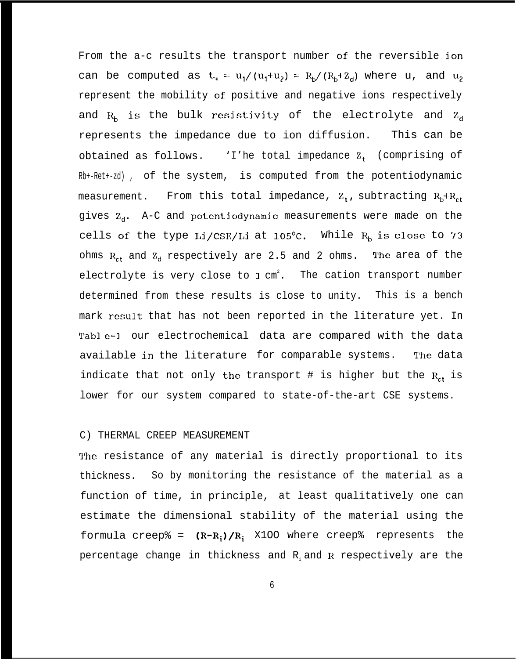From the a-c results the transport number of the reversible ion can be computed as t<sub>r</sub> =  $u_1/(u_1+u_2) = R_h/(R_h+Z_d)$  where u, and  $u_2$ represent the mobility of positive and negative ions respectively and  $R_h$  is the bulk resistivity of the electrolyte and  $Z_d$ represents the impedance due to ion diffusion. This can be obtained as follows.  $\cdot$  I'he total impedance  $Z_t$  (comprising of Rb+-Ret+-zd) , of the system, is computed from the potentiodynamic measurement. From this total impedance,  $Z_t$ , subtracting  $R_b+R_{ct}$ gives  $Z_d$ . A-C and potentiodynamic measurements were made on the cells of the type Li/CSF/Li at  $105^{\circ}$ C. While  $R_b$  is close to 73 ohms  $R_{ct}$  and  $Z_{d}$  respectively are 2.5 and 2 ohms. The area of the electrolyte is very close to 1 cm<sup>2</sup>. The cation transport number determined from these results is close to unity. This is a bench mark result that has not been reported in the literature yet. In Table-1 our electrochemical data are compared with the data available in the literature for comparable systems. 'l'he data indicate that not only the transport # is higher but the  $R_{ct}$  is lower for our system compared to state-of-the-art CSE systems.

### C) THERMAL CREEP MEASUREMENT

The resistance of any material is directly proportional to its thickness. So by monitoring the resistance of the material as a function of time, in principle, at least qualitatively one can estimate the dimensional stability of the material using the formula creep% =  $(R-R_i)/R_i$  X100 where creep% represents the percentage change in thickness and  $R_i$  and  $R$  respectively are the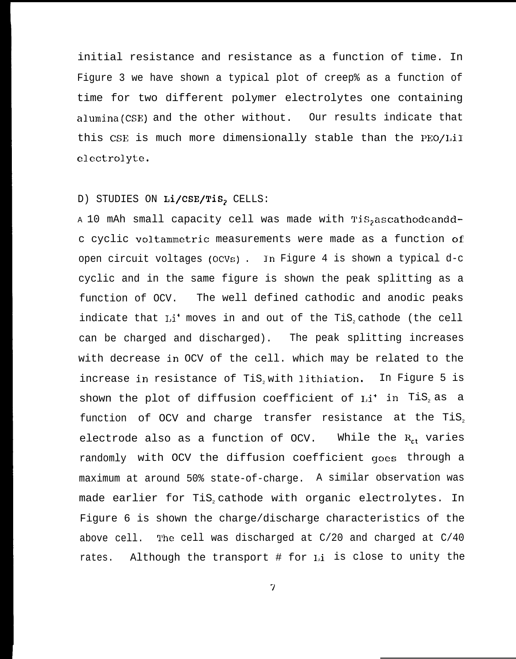initial resistance and resistance as a function of time. In Figure 3 we have shown a typical plot of creep% as a function of time for two different polymer electrolytes one containing alumina(CSE) and the other without. Our results indicate that this CSE is much more dimensionally stable than the PEO/LiI electrolyte.

### D) STUDIES ON Li/CSE/TiS, CELLS:

A 10 mAh small capacity cell was made with TiS<sub>2</sub> as cathode and dc cyclic voltammetric measurements were made as a function of open circuit voltages (OCVs) . In Figure 4 is shown a typical d-c cyclic and in the same figure is shown the peak splitting as a function of OCV. The well defined cathodic and anodic peaks indicate that  $Li^+$  moves in and out of the TiS<sub>2</sub> cathode (the cell can be charged and discharged). The peak splitting increases with decrease in OCV of the cell. which may be related to the increase in resistance of TiS, with lithiation. In Figure 5 is shown the plot of diffusion coefficient of  $Li^+$  in TiS<sub>2</sub> as a function of OCV and charge transfer resistance at the TiS<sub>2</sub> electrode also as a function of OCV. While the  $R_{ct}$  varies randomly with OCV the diffusion coefficient goes through a maximum at around 50% state-of-charge. A similar observation was made earlier for TiS, cathode with organic electrolytes. In Figure 6 is shown the charge/discharge characteristics of the above cell. The cell was discharged at  $C/20$  and charged at  $C/40$ rates. Although the transport # for Li is close to unity the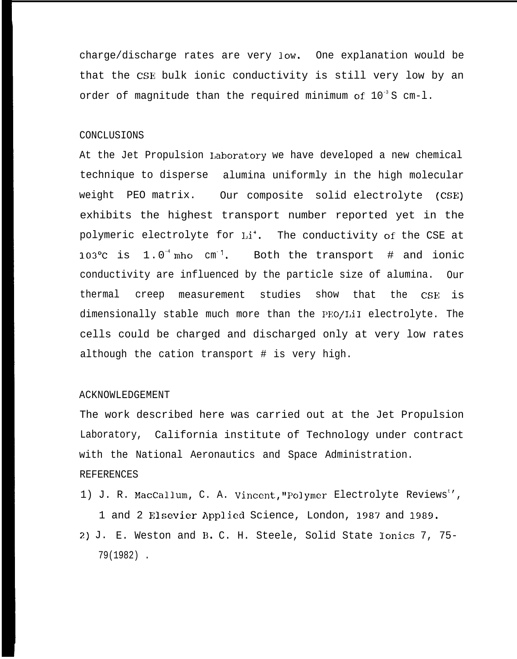charge/discharge rates are very low. One explanation would be that the CSE bulk ionic conductivity is still very low by an order of magnitude than the required minimum of  $10^{-3}$  S cm-1.

### CONCLUSIONS

At the Jet Propulsion I.aboratory we have developed a new chemical technique to disperse alumina uniformly in the high molecular weight PEO matrix. Our composite solid electrolyte (CSE) exhibits the highest transport number reported yet in the polymeric electrolyte for Li<sup>+</sup>. The conductivity of the CSE at 103°C is 1.0<sup>-4</sup>mho cm<sup>-1</sup>. Both the transport # and ionic conductivity are influenced by the particle size of alumina. Our thermal creep measurement studies show that the CSE is dimensionally stable much more than the PEO/LiI electrolyte. The cells could be charged and discharged only at very low rates although the cation transport # is very high.

### ACKNOWLEDGEMENT

The work described here was carried out at the Jet Propulsion Laboratory, California institute of Technology under contract with the National Aeronautics and Space Administration. REFERENCES

1) J. R. MacCallum, C. A. Vincent, "Polymer Electrolyte Reviews"', 1 and 2 Elsevier Applied Science, London, 1987 and 1989. 2) J. E. Weston and B. C. H. Steele, Solid State Ionics 7, 75- 79(1982) .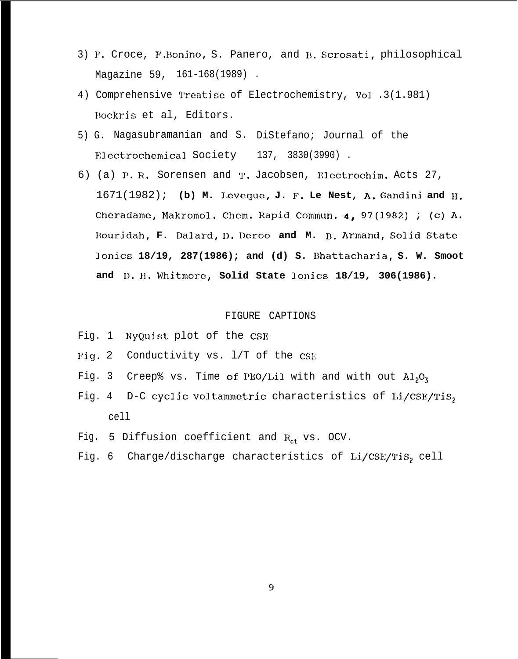- 3) F. Croce, F. Bonino, S. Panero, and B. Scrosati, philosophical Magazine 59, 161-168(1989) .
- 4) Comprehensive Treatise of Electrochemistry, Vol .3(1.981) Bockris et al, Editors.
- 5) G. Nagasubramanian and S. DiStefano; Journal of the Electrochemical Society 137, 3830(3990).
- 6) (a) P. R. Sorensen and T. Jacobsen, Electrochim. Acts 27, 1671(1982); **(b) M. I,eveque, J. F. Le Nest, A. Gandini and H. Cheradame, Makromol. Chem. Rapid Commun. 4, 97(1982) ; (c) A. Bourjdah, F. Dalard, D. Deroo and M. B. Armand, So]id State lonics 18/19, 287(1986); and (d) S. Dhattacharia, S. W. Smoot and D. 11. Whitmore, Solid State Ionics 18/19, 306(1986).**

### FIGURE CAPTIONS

- Fig. 1 NyQuist plot of the CSE
- Fig. 2 Conductivity vs. 1/T of the CSE
- Fig. 3 Creep% vs. Time of PEO/LiI with and with out  $Al_2O_3$
- Fig. 4 D-C cyclic voltammetric characteristics of Li/CSE/TiS2 cell
- Fig. 5 Diffusion coefficient and  $R_{ct}$  vs. OCV.
- Fig. 6 Charge/discharge characteristics of  $Li/CSE/TiS<sub>2</sub>$  cell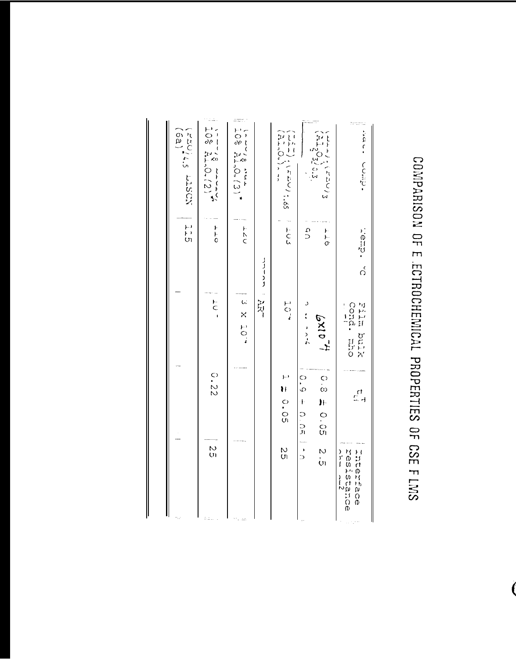### COMPARISON OF E ECTROCHEMICAL PROPERTIES OF CSE F LMS

|                                                  |                                 |                                                    | r<br>H<br>Ul  | FAU14.5 L1SCN<br>16a1                                                                                                                                                                                                                                                                                                                                                                                                             |
|--------------------------------------------------|---------------------------------|----------------------------------------------------|---------------|-----------------------------------------------------------------------------------------------------------------------------------------------------------------------------------------------------------------------------------------------------------------------------------------------------------------------------------------------------------------------------------------------------------------------------------|
| N<br>UI                                          | C.22                            | C                                                  | $\tau$ +      | $10\%$ $\frac{1}{24.0}$ , $(2)$                                                                                                                                                                                                                                                                                                                                                                                                   |
|                                                  |                                 | 3 x 107                                            | トヘアド          | $\frac{1}{108}$ $\frac{21}{21}$ , 0, 13) <sup>*</sup>                                                                                                                                                                                                                                                                                                                                                                             |
|                                                  |                                 | <b>AR</b>                                          | リーー・リーン       |                                                                                                                                                                                                                                                                                                                                                                                                                                   |
| n<br>C)                                          | H O-OR                          | 404                                                | $\frac{1}{2}$ | THTV: ( FBC) 1.65<br>コトリン・ThD-1.65                                                                                                                                                                                                                                                                                                                                                                                                |
| $\frac{1}{2}$                                    | 0.9<br>$\bar{\mathbf{t}}$<br>つい | シーン・・シーム                                           | q q           |                                                                                                                                                                                                                                                                                                                                                                                                                                   |
| N<br>UI                                          | 0.9 ± 0.05                      | 4.0119                                             | トーの           | $\begin{array}{c}\n\frac{1}{2} - \frac{1}{2} \left( \frac{1}{2} \frac{1}{2} - \frac{1}{2} \right) \\ \frac{1}{2} - \frac{1}{2} \left( \frac{1}{2} \frac{1}{2} \right) \\ \frac{1}{2} - \frac{1}{2} \left( \frac{1}{2} \frac{1}{2} \right) \\ \frac{1}{2} - \frac{1}{2} \left( \frac{1}{2} \frac{1}{2} \right) \\ \frac{1}{2} - \frac{1}{2} \left( \frac{1}{2} \frac{1}{2} \right) \\ \frac{1}{2} - \frac{1}{2} \left( \frac{1}{2$ |
| resistance<br>Interface<br>)」「」<br>$\frac{1}{2}$ | ر<br>پار                        | cond.<br>XInd mird<br>$\frac{1}{1}$<br><b>ELCO</b> | D. Cman       | · dmoo · · · · · ·                                                                                                                                                                                                                                                                                                                                                                                                                |
|                                                  |                                 |                                                    |               |                                                                                                                                                                                                                                                                                                                                                                                                                                   |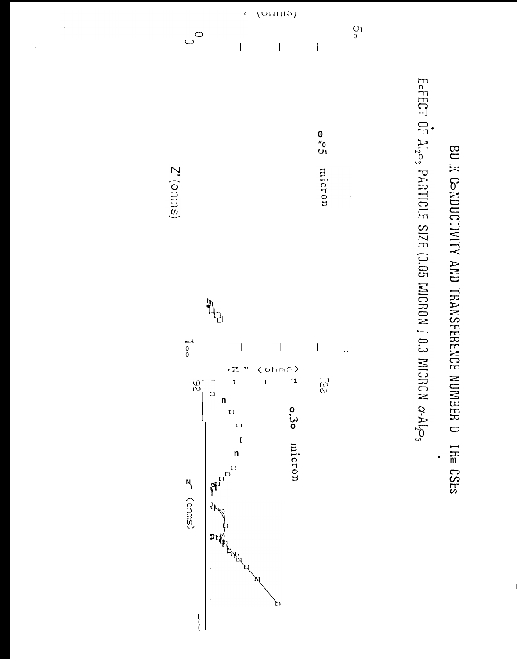## BU K CONDUCTIVITY AND TRANSFERENCE NUMBER O THE CSES

.

E=FECT OF Al<sub>2</sub><sub>2</sub>, PARTICLE SIZE (0.05 MICRON *j* 0.3 MICRON  $\alpha$ -Al<sub>2</sub><sub>2</sub>,

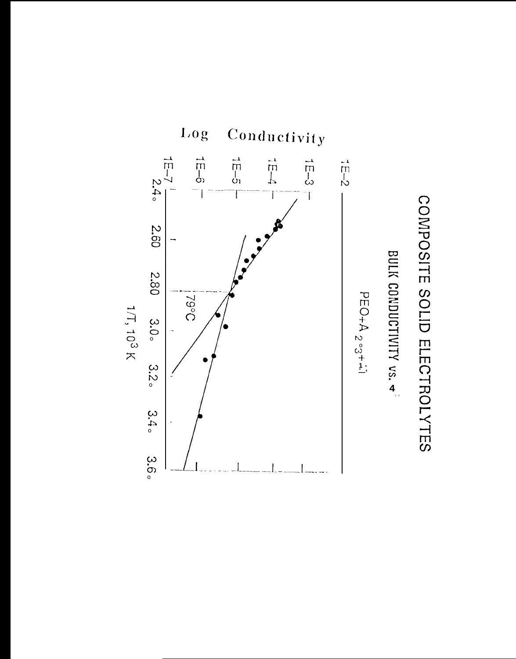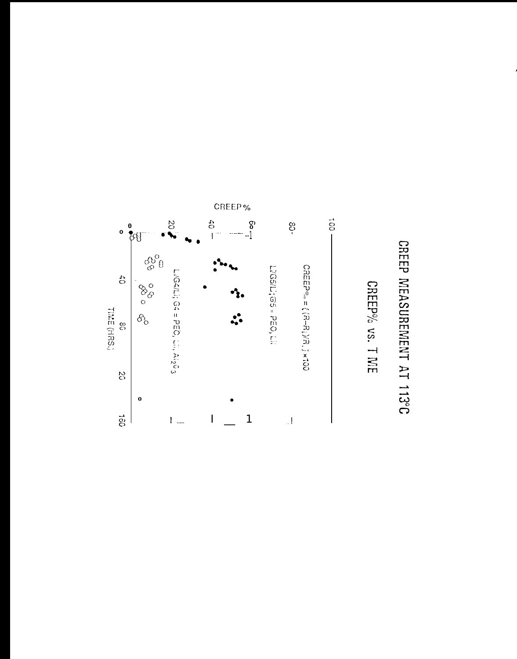### CREEP MEASUREMENT AT 113°C

CREEP% vs. TME

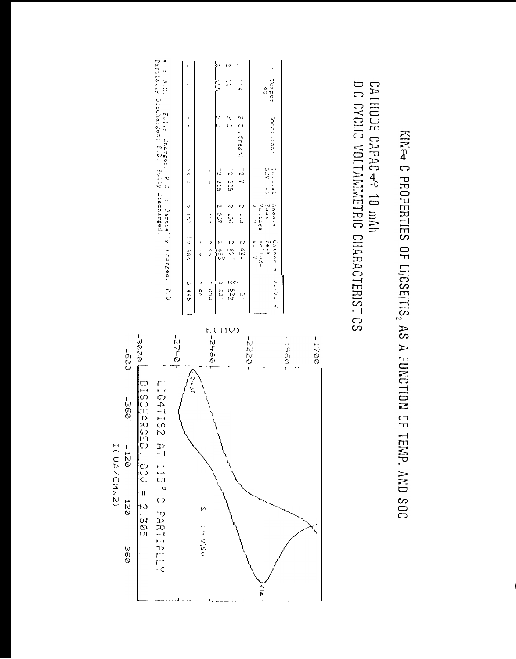# KINET C PROPERTIES OF LIJCSE/TIS, AS A FUNCTION OF TEMP. AND SOC

### D-C CYCLIC VOLTAMMETRIC CHARACTERIST CS CATHODE CAPAC - 10 mAh

|                                               | こだし ひみゃ                                            | $-7 - 179$                                   | ني لي                 | ŋ<br>,       | $\frac{1}{2}$                         |
|-----------------------------------------------|----------------------------------------------------|----------------------------------------------|-----------------------|--------------|---------------------------------------|
|                                               | $\mathbf{)}$<br>ś                                  |                                              |                       |              |                                       |
|                                               | د                                                  | ž                                            | I                     |              |                                       |
| $rac{1}{3}$                                   | a<br>av<br>Ι                                       | 2 0c7                                        | 5:2:5                 | ن<br>ن       | ֧֝֝֓֓֓֓֓֓֓֓׆<br>ֺ֧֧֧֧֧֧֧֧֧֧֪֧֓֓֓֓֜֓֓׆ |
| 100<br>10<br>14                               | $\frac{1}{2}$                                      | 2 LOG                                        | 500 J                 | 73           |                                       |
|                                               | 2.920                                              | $\frac{2}{3}$                                | $\frac{1}{2}$ 3.      | 7)<br>iresh. |                                       |
|                                               | $\tilde{\zeta}$<br>Voltage<br>$\ddot{\phantom{1}}$ | Peak<br>$\tilde{\cdot}$<br>Voltage<br>$\leq$ | VG V<br>$\frac{1}{2}$ |              | $\frac{5}{3}$                         |
| $\mathcal{L} = \mathcal{L} \circ \mathcal{L}$ | Peak<br>Cathodic                                   | Anodic                                       | <b>CALLA</b>          | Condi.ion"   | Tetipet                               |

\* = 8.C. : Fully Charged: P.C. : Partially Charged: P.D<br>Partially Discharged: 8.D.: Fully Discharged.

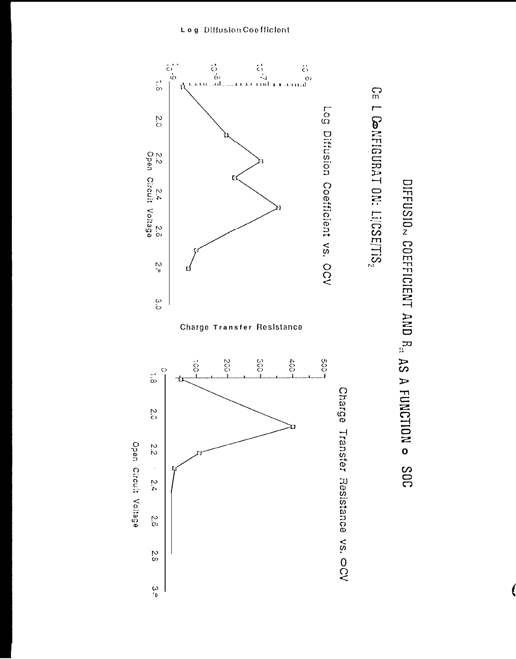